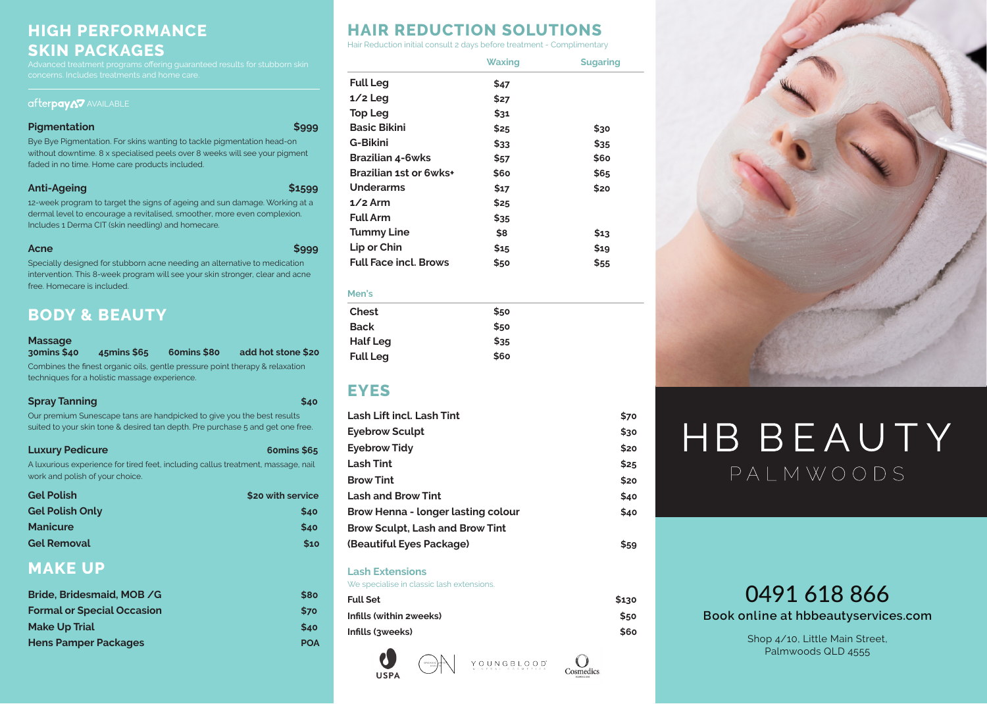# **HIGH PERFORMANCE SKIN PACKAGES**

### afterpayA7 AVAILABLE

### **Pigmentation \$999**

Bye Bye Pigmentation. For skins wanting to tackle pigmentation head-on without downtime. 8 x specialised peels over 8 weeks will see your pigment faded in no time. Home care products included.

### **Anti-Ageing \$1599**

12-week program to target the signs of ageing and sun damage. Working at a dermal level to encourage a revitalised, smoother, more even complexion. Includes 1 Derma CIT (skin needling) and homecare.

| Acne | \$999 |
|------|-------|
|      |       |

Specially designed for stubborn acne needing an alternative to medication intervention. This 8-week program will see your skin stronger, clear and acne free. Homecare is included.

# **BODY & BEAUTY**

### **Massage**

**30mins \$40 45mins \$65 60mins \$80 add hot stone \$20**  Combines the finest organic oils, gentle pressure point therapy & relaxation techniques for a holistic massage experience.

| <b>Spray Tanning</b><br>\$40                                                   |  |
|--------------------------------------------------------------------------------|--|
| Our premium Sunescape tans are handpicked to give you the best results         |  |
| suited to your skin tone & desired tan depth. Pre purchase 5 and get one free. |  |

| <b>Luxury Pedicure</b>                                                                                              | 60mins \$65       |
|---------------------------------------------------------------------------------------------------------------------|-------------------|
| A luxurious experience for tired feet, including callus treatment, massage, nail<br>work and polish of your choice. |                   |
| <b>Gel Polish</b>                                                                                                   | \$20 with service |

| <b>Gel Polish Only</b> | \$40 |
|------------------------|------|
| <b>Manicure</b>        | \$40 |
| <b>Gel Removal</b>     | \$10 |

# **MAKE UP**

| Bride, Bridesmaid, MOB / G        | <b>S80</b>  |
|-----------------------------------|-------------|
| <b>Formal or Special Occasion</b> | <b>\$70</b> |
| <b>Make Up Trial</b>              | \$40        |
| <b>Hens Pamper Packages</b>       | <b>POA</b>  |

# **HAIR REDUCTION SOLUTIONS**

Hair Reduction initial consult 2 days before treatment - Complimentary

|                               | Waxing | <b>Sugaring</b> |
|-------------------------------|--------|-----------------|
| <b>Full Leg</b>               | \$47   |                 |
| $1/2$ Leg                     | \$27   |                 |
| <b>Top Leg</b>                | \$31   |                 |
| <b>Basic Bikini</b>           | \$25   | \$30            |
| <b>G-Bikini</b>               | \$33   | \$35            |
| <b>Brazilian 4-6wks</b>       | \$57   | \$60            |
| <b>Brazilian 1st or 6wks+</b> | \$60   | \$65            |
| <b>Underarms</b>              | \$17   | \$20            |
| $1/2$ Arm                     | \$25   |                 |
| <b>Full Arm</b>               | \$35   |                 |
| <b>Tummy Line</b>             | \$8    | \$13            |
| Lip or Chin                   | \$15   | \$19            |
| <b>Full Face incl. Brows</b>  | \$50   | \$55            |
|                               |        |                 |

| <b>MELS</b>     |      |  |
|-----------------|------|--|
| <b>Chest</b>    | \$50 |  |
| <b>Back</b>     | \$50 |  |
| <b>Half Leg</b> | \$35 |  |
| <b>Full Leg</b> | \$60 |  |

## **EYES**

**Men's**

| \$70 |
|------|
| \$30 |
| \$20 |
| \$25 |
| \$20 |
| \$40 |
| \$40 |
|      |
| \$59 |
|      |

### **Lash Extensions**

| \$130 |
|-------|
| \$50  |
| \$60  |
|       |



 $\bigcirc$ 

Cosmedics



# HB BEAUTY PALMWOODS

# 0491 618 866

**Book online at hbbeautyservices.com**

Shop 4/10, Little Main Street, Palmwoods QLD 4555